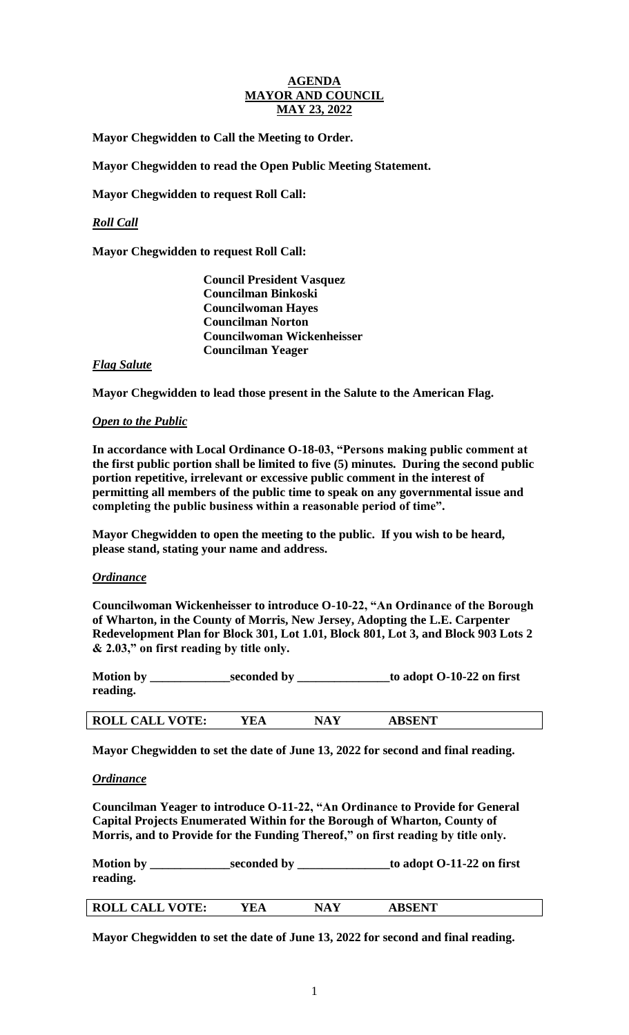## **AGENDA MAYOR AND COUNCIL MAY 23, 2022**

**Mayor Chegwidden to Call the Meeting to Order.** 

**Mayor Chegwidden to read the Open Public Meeting Statement.** 

**Mayor Chegwidden to request Roll Call:** 

# *Roll Call*

**Mayor Chegwidden to request Roll Call:**

**Council President Vasquez Councilman Binkoski Councilwoman Hayes Councilman Norton Councilwoman Wickenheisser Councilman Yeager**

## *Flag Salute*

**Mayor Chegwidden to lead those present in the Salute to the American Flag.**

## *Open to the Public*

**In accordance with Local Ordinance O-18-03, "Persons making public comment at the first public portion shall be limited to five (5) minutes. During the second public portion repetitive, irrelevant or excessive public comment in the interest of permitting all members of the public time to speak on any governmental issue and completing the public business within a reasonable period of time".** 

**Mayor Chegwidden to open the meeting to the public. If you wish to be heard, please stand, stating your name and address.** 

#### *Ordinance*

**Councilwoman Wickenheisser to introduce O-10-22, "An Ordinance of the Borough of Wharton, in the County of Morris, New Jersey, Adopting the L.E. Carpenter Redevelopment Plan for Block 301, Lot 1.01, Block 801, Lot 3, and Block 903 Lots 2 & 2.03," on first reading by title only.**

**Motion by \_\_\_\_\_\_\_\_\_\_\_\_\_seconded by \_\_\_\_\_\_\_\_\_\_\_\_\_\_\_to adopt O-10-22 on first reading.**

| <b>ABSENT</b><br><b>ROLL CALL VOTE:</b><br>$E^{\prime}$ EA<br>NA) |  |
|-------------------------------------------------------------------|--|
|-------------------------------------------------------------------|--|

**Mayor Chegwidden to set the date of June 13, 2022 for second and final reading.**

#### *Ordinance*

**Councilman Yeager to introduce O-11-22, "An Ordinance to Provide for General Capital Projects Enumerated Within for the Borough of Wharton, County of Morris, and to Provide for the Funding Thereof," on first reading by title only.**

| <b>Motion by</b> | seconded by | to adopt O-11-22 on first |
|------------------|-------------|---------------------------|
| reading.         |             |                           |
|                  |             |                           |

| <b>ROLL CALL VOTE:</b> | 7F.A | NΔ | A RCFNT |
|------------------------|------|----|---------|
|                        |      |    |         |

**Mayor Chegwidden to set the date of June 13, 2022 for second and final reading.**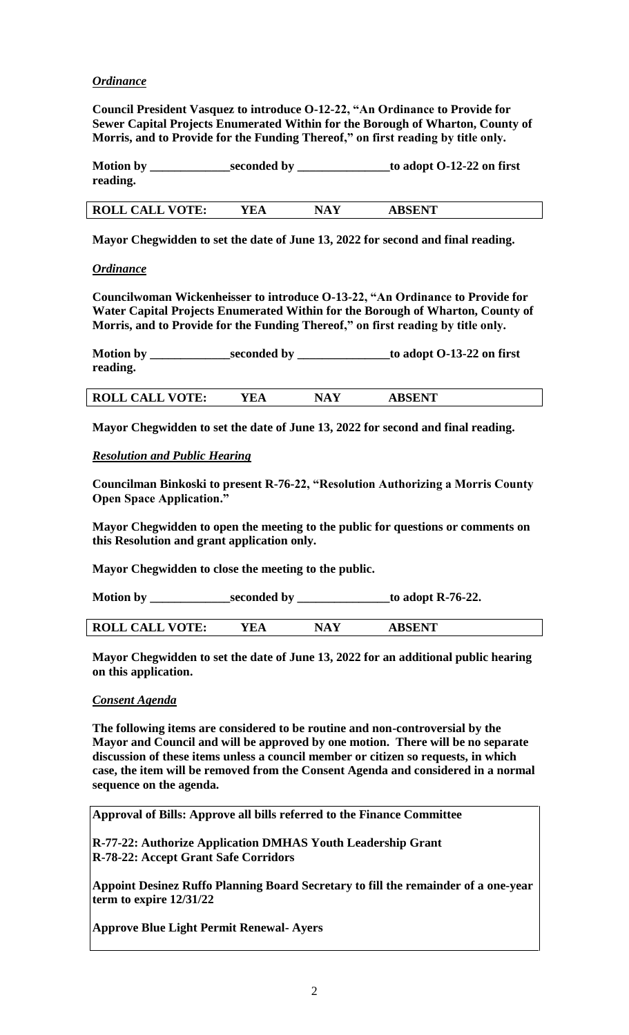# *Ordinance*

**Council President Vasquez to introduce O-12-22, "An Ordinance to Provide for Sewer Capital Projects Enumerated Within for the Borough of Wharton, County of Morris, and to Provide for the Funding Thereof," on first reading by title only.**

| <b>Motion by</b> | seconded by | to adopt O-12-22 on first |
|------------------|-------------|---------------------------|
| reading.         |             |                           |
|                  |             |                           |

**Mayor Chegwidden to set the date of June 13, 2022 for second and final reading.**

**ROLL CALL VOTE: YEA NAY ABSENT** 

## *Ordinance*

**Councilwoman Wickenheisser to introduce O-13-22, "An Ordinance to Provide for Water Capital Projects Enumerated Within for the Borough of Wharton, County of Morris, and to Provide for the Funding Thereof," on first reading by title only.**

**Motion by \_\_\_\_\_\_\_\_\_\_\_\_\_seconded by \_\_\_\_\_\_\_\_\_\_\_\_\_\_\_to adopt O-13-22 on first reading.**

**ROLL CALL VOTE: YEA NAY ABSENT** 

**Mayor Chegwidden to set the date of June 13, 2022 for second and final reading.**

# *Resolution and Public Hearing*

**Councilman Binkoski to present R-76-22, "Resolution Authorizing a Morris County Open Space Application."**

**Mayor Chegwidden to open the meeting to the public for questions or comments on this Resolution and grant application only.**

**Mayor Chegwidden to close the meeting to the public.**

| <b>Motion by</b> | seconded by | to adopt R-76-22. |
|------------------|-------------|-------------------|
|                  |             |                   |

| $V\Lambda T$ F.<br><b>ROLL</b><br>$\mathbf{\Lambda}$ .<br>◡◠╜╜ | ïΑ | $\sqrt{ }$<br>. | $\triangle$ $\Gamma$ $N$ <sup>T</sup> |  |
|----------------------------------------------------------------|----|-----------------|---------------------------------------|--|
|                                                                |    |                 |                                       |  |

**Mayor Chegwidden to set the date of June 13, 2022 for an additional public hearing on this application.**

#### *Consent Agenda*

**The following items are considered to be routine and non-controversial by the Mayor and Council and will be approved by one motion. There will be no separate discussion of these items unless a council member or citizen so requests, in which case, the item will be removed from the Consent Agenda and considered in a normal sequence on the agenda.**

**Approval of Bills: Approve all bills referred to the Finance Committee**

**R-77-22: Authorize Application DMHAS Youth Leadership Grant R-78-22: Accept Grant Safe Corridors**

**Appoint Desinez Ruffo Planning Board Secretary to fill the remainder of a one-year term to expire 12/31/22**

**Approve Blue Light Permit Renewal- Ayers**